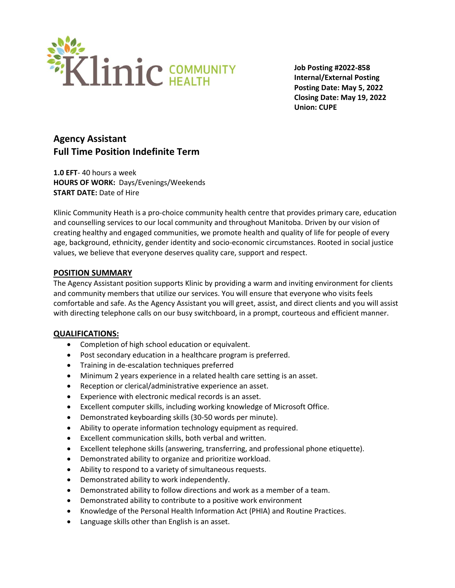

**Job Posting #2022-858 Internal/External Posting Posting Date: May 5, 2022 Closing Date: May 19, 2022 Union: CUPE**

# **Agency Assistant Full Time Position Indefinite Term**

**1.0 EFT**- 40 hours a week **HOURS OF WORK:** Days/Evenings/Weekends **START DATE:** Date of Hire

Klinic Community Heath is a pro-choice community health centre that provides primary care, education and counselling services to our local community and throughout Manitoba. Driven by our vision of creating healthy and engaged communities, we promote health and quality of life for people of every age, background, ethnicity, gender identity and socio-economic circumstances. Rooted in social justice values, we believe that everyone deserves quality care, support and respect.

#### **POSITION SUMMARY**

The Agency Assistant position supports Klinic by providing a warm and inviting environment for clients and community members that utilize our services. You will ensure that everyone who visits feels comfortable and safe. As the Agency Assistant you will greet, assist, and direct clients and you will assist with directing telephone calls on our busy switchboard, in a prompt, courteous and efficient manner.

#### **QUALIFICATIONS:**

- Completion of high school education or equivalent.
- Post secondary education in a healthcare program is preferred.
- Training in de-escalation techniques preferred
- Minimum 2 years experience in a related health care setting is an asset.
- Reception or clerical/administrative experience an asset.
- Experience with electronic medical records is an asset.
- Excellent computer skills, including working knowledge of Microsoft Office.
- Demonstrated keyboarding skills (30-50 words per minute).
- Ability to operate information technology equipment as required.
- Excellent communication skills, both verbal and written.
- Excellent telephone skills (answering, transferring, and professional phone etiquette).
- Demonstrated ability to organize and prioritize workload.
- Ability to respond to a variety of simultaneous requests.
- Demonstrated ability to work independently.
- Demonstrated ability to follow directions and work as a member of a team.
- Demonstrated ability to contribute to a positive work environment
- Knowledge of the Personal Health Information Act (PHIA) and Routine Practices.
- Language skills other than English is an asset.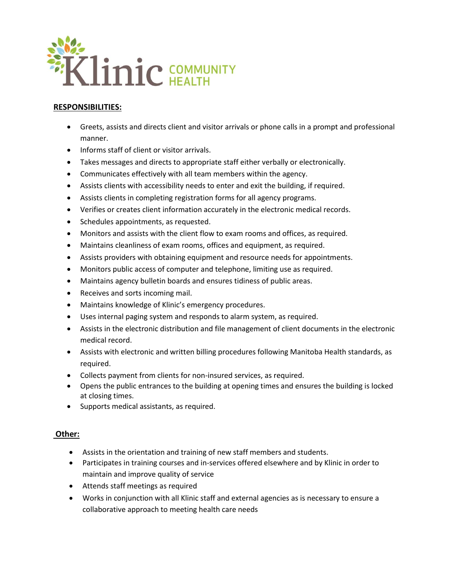

## **RESPONSIBILITIES:**

- Greets, assists and directs client and visitor arrivals or phone calls in a prompt and professional manner.
- Informs staff of client or visitor arrivals.
- Takes messages and directs to appropriate staff either verbally or electronically.
- Communicates effectively with all team members within the agency.
- Assists clients with accessibility needs to enter and exit the building, if required.
- Assists clients in completing registration forms for all agency programs.
- Verifies or creates client information accurately in the electronic medical records.
- Schedules appointments, as requested.
- Monitors and assists with the client flow to exam rooms and offices, as required.
- Maintains cleanliness of exam rooms, offices and equipment, as required.
- Assists providers with obtaining equipment and resource needs for appointments.
- Monitors public access of computer and telephone, limiting use as required.
- Maintains agency bulletin boards and ensures tidiness of public areas.
- Receives and sorts incoming mail.
- Maintains knowledge of Klinic's emergency procedures.
- Uses internal paging system and responds to alarm system, as required.
- Assists in the electronic distribution and file management of client documents in the electronic medical record.
- Assists with electronic and written billing procedures following Manitoba Health standards, as required.
- Collects payment from clients for non-insured services, as required.
- Opens the public entrances to the building at opening times and ensures the building is locked at closing times.
- Supports medical assistants, as required.

## **Other:**

- Assists in the orientation and training of new staff members and students.
- Participates in training courses and in-services offered elsewhere and by Klinic in order to maintain and improve quality of service
- Attends staff meetings as required
- Works in conjunction with all Klinic staff and external agencies as is necessary to ensure a collaborative approach to meeting health care needs